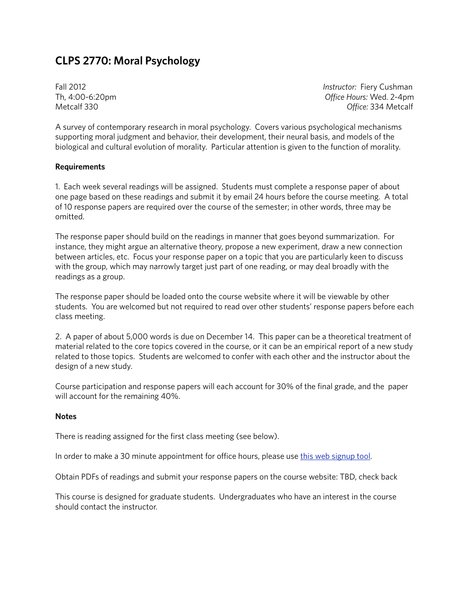# **CLPS 2770: Moral Psychology**

Fall 2012 *Instructor:* Fiery Cushman Th, 4:00-6:20pm *Office Hours:* Wed. 2-4pm Metcalf 330 *Office:* 334 Metcalf

A survey of contemporary research in moral psychology. Covers various psychological mechanisms supporting moral judgment and behavior, their development, their neural basis, and models of the biological and cultural evolution of morality. Particular attention is given to the function of morality.

## **Requirements**

1. Each week several readings will be assigned. Students must complete a response paper of about one page based on these readings and submit it by email 24 hours before the course meeting. A total of 10 response papers are required over the course of the semester; in other words, three may be omitted.

The response paper should build on the readings in manner that goes beyond summarization. For instance, they might argue an alternative theory, propose a new experiment, draw a new connection between articles, etc. Focus your response paper on a topic that you are particularly keen to discuss with the group, which may narrowly target just part of one reading, or may deal broadly with the readings as a group.

The response paper should be loaded onto the course website where it will be viewable by other students. You are welcomed but not required to read over other students' response papers before each class meeting.

2. A paper of about 5,000 words is due on December 14. This paper can be a theoretical treatment of material related to the core topics covered in the course, or it can be an empirical report of a new study related to those topics. Students are welcomed to confer with each other and the instructor about the design of a new study.

Course participation and response papers will each account for 30% of the final grade, and the paper will account for the remaining 40%.

#### **Notes**

There is reading assigned for the first class meeting (see below).

In order to make a 30 minute appointment for office hours, please use [this web signup tool.](https://www.google.com/calendar/selfsched?sstoken=UUV1UGdlYmtEZ2pjfGRlZmF1bHR8ZmRhZTdjNGQ3OTA0NzVhY2Y5OWMwZDYzNDg5NWVmOGM)

Obtain PDFs of readings and submit your response papers on the course website: TBD, check back

This course is designed for graduate students. Undergraduates who have an interest in the course should contact the instructor.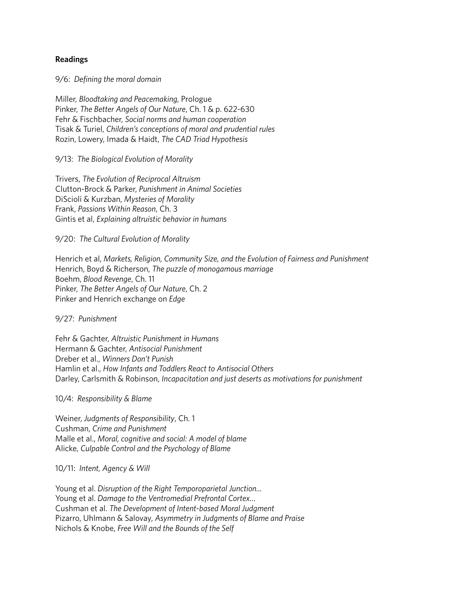### **Readings**

9/6: *Defining the moral domain*

Miller, *Bloodtaking and Peacemaking,* Prologue Pinker, *The Better Angels of Our Nature*, Ch. 1 & p. 622-630 Fehr & Fischbacher, *Social norms and human cooperation* Tisak & Turiel, *Children's conceptions of moral and prudential rules* Rozin, Lowery, Imada & Haidt, *The CAD Triad Hypothesis*

## 9/13: *The Biological Evolution of Morality*

Trivers, *The Evolution of Reciprocal Altruism* Clutton-Brock & Parker, *Punishment in Animal Societies* DiScioli & Kurzban, *Mysteries of Morality* Frank, *Passions Within Reason*, Ch. 3 Gintis et al, *Explaining altruistic behavior in humans*

## 9/20: *The Cultural Evolution of Morality*

Henrich et al, *Markets, Religion, Community Size, and the Evolution of Fairness and Punishment* Henrich, Boyd & Richerson, *The puzzle of monogamous marriage* Boehm, *Blood Revenge*, Ch. 11 Pinker, *The Better Angels of Our Nature*, Ch. 2 Pinker and Henrich exchange on *Edge*

9/27: *Punishment*

Fehr & Gachter, *Altruistic Punishment in Humans* Hermann & Gachter, *Antisocial Punishment* Dreber et al., *Winners Don't Punish* Hamlin et al., *How Infants and Toddlers React to Antisocial Others* Darley, Carlsmith & Robinson, *Incapacitation and just deserts as motivations for punishment*

10/4: *Responsibility & Blame*

Weiner, *Judgments of Responsibility*, Ch. 1 Cushman, *Crime and Punishment* Malle et al., *Moral, cognitive and social: A model of blame* Alicke, *Culpable Control and the Psychology of Blame*

10/11: *Intent, Agency & Will*

Young et al. *Disruption of the Right Temporoparietal Junction...* Young et al. *Damage to the Ventromedial Prefrontal Cortex…* Cushman et al. *The Development of Intent-based Moral Judgment* Pizarro, Uhlmann & Salovay, *Asymmetry in Judgments of Blame and Praise* Nichols & Knobe, *Free Will and the Bounds of the Self*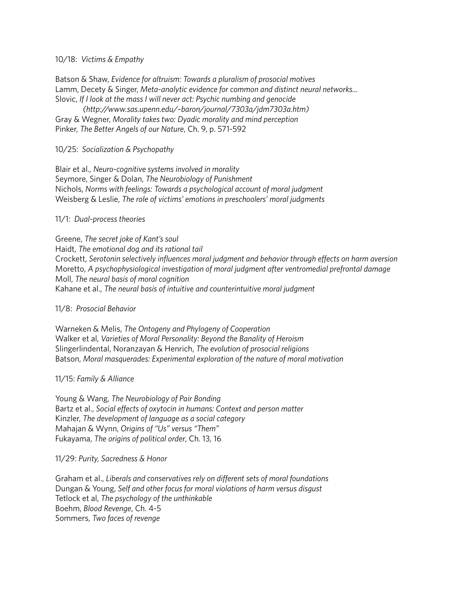#### 10/18: *Victims & Empathy*

Batson & Shaw, *Evidence for altruism: Towards a pluralism of prosocial motives* Lamm, Decety & Singer, *Meta-analytic evidence for common and distinct neural networks...* Slovic, *If I look at the mass I will never act: Psychic numbing and genocide*

 *(http://www.sas.upenn.edu/~baron/journal/7303a/jdm7303a.htm)* Gray & Wegner, *Morality takes two: Dyadic morality and mind perception* Pinker, *The Better Angels of our Nature*, Ch. 9, p. 571-592

10/25: *Socialization & Psychopathy*

Blair et al., *Neuro-cognitive systems involved in morality* Seymore, Singer & Dolan, *The Neurobiology of Punishment* Nichols, *Norms with feelings: Towards a psychological account of moral judgment* Weisberg & Leslie, *The role of victims' emotions in preschoolers' moral judgments*

11/1: *Dual-process theories*

Greene, *The secret joke of Kant's soul*

Haidt, *The emotional dog and its rational tail* Crockett, *Serotonin selectively influences moral judgment and behavior through effects on harm aversion* Moretto, *A psychophysiological investigation of moral judgment after ventromedial prefrontal damage* Moll, *The neural basis of moral cognition* Kahane et al., *The neural basis of intuitive and counterintuitive moral judgment*

#### 11/8: *Prosocial Behavior*

Warneken & Melis, *The Ontogeny and Phylogeny of Cooperation* Walker et al, *Varieties of Moral Personality: Beyond the Banality of Heroism* Slingerlindental, Noranzayan & Henrich, *The evolution of prosocial religions* Batson, *Moral masquerades: Experimental exploration of the nature of moral motivation*

#### 11/15: *Family & Alliance*

Young & Wang, *The Neurobiology of Pair Bonding* Bartz et al., *Social effects of oxytocin in humans: Context and person matter* Kinzler, *The development of language as a social category* Mahajan & Wynn, *Origins of "Us" versus "Them"* Fukayama, *The origins of political order*, Ch. 13, 16

11/29: *Purity, Sacredness & Honor*

Graham et al., *Liberals and conservatives rely on different sets of moral foundations* Dungan & Young, *Self and other focus for moral violations of harm versus disgust* Tetlock et al, *The psychology of the unthinkable* Boehm, *Blood Revenge*, Ch. 4-5 Sommers, *Two faces of revenge*